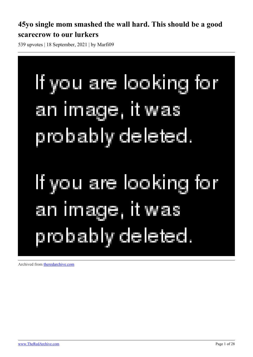# **45yo single mom smashed the wall hard. This should be a good scarecrow to our lurkers**

539 upvotes | 18 September, 2021 | by Marfi09

If you are looking for an image, it was probably deleted. If you are looking for an image, it was probably deleted.

Archived from [theredarchive.com](https://theredarchive.com/r/WhereAreAllTheGoodMen/45yo-single-mom-smashed-the-wall-hard-this-should.1075761)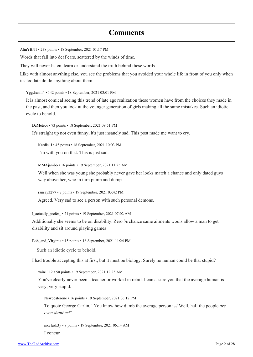# **Comments**

[AlinYBN1](https://old.reddit.com/user/AlinYBN1) • 238 points • 18 September, 2021 01:17 PM

Words that fall into deaf ears, scattered by the winds of time.

They will never listen, learn or understand the truth behind these words.

Like with almost anything else, you see the problems that you avoided your whole life in front of you only when it's too late do do anything about them.

[Yggdrasill4](https://old.reddit.com/user/Yggdrasill4) • 142 points • 18 September, 2021 03:01 PM

It is almost comical seeing this trend of late age realization these women have from the choices they made in the past, and then you look at the younger generation of girls making all the same mistakes. Such an idiotic cycle to behold.

[DaMeteor](https://old.reddit.com/user/DaMeteor) • 73 points • 18 September, 2021 09:51 PM

It's straight up not even funny, it's just insanely sad. This post made me want to cry.

Kardis J • 45 points • 18 September, 2021 10:03 PM

I'm with you on that. This is just sad.

[MMAjambo](https://old.reddit.com/user/MMAjambo) • 16 points • 19 September, 2021 11:25 AM

Well when she was young she probably never gave her looks match a chance and only dated guys way above her, who in turn pump and dump

[ransay3277](https://old.reddit.com/user/ransay3277) • 7 points • 19 September, 2021 03:42 PM

Agreed. Very sad to see a person with such personal demons.

I actually prefer • 21 points • 19 September, 2021 07:02 AM

Additionally she seems to be on disability. Zero % chance same ailments wouls allow a man to get disability and sit around playing games

Bob and Virginia • 15 points • 18 September, 2021 11:24 PM

Such an idiotic cycle to behold.

I had trouble accepting this at first, but it must be biology. Surely no human could be that stupid?

[xain1112](https://old.reddit.com/user/xain1112) • 50 points • 19 September, 2021 12:23 AM

You've clearly never been a teacher or worked in retail. I can assure you that the average human is very, very stupid.

[Newbosterone](https://old.reddit.com/user/Newbosterone) • 16 points • 19 September, 2021 06:12 PM

To quote George Carlin, "You know how dumb the average person is? Well, half the people *are even dumber!*"

[mcclusk3y](https://old.reddit.com/user/mcclusk3y) • 9 points • 19 September, 2021 06:14 AM

I concur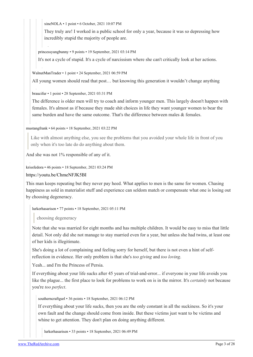[xineNOLA](https://old.reddit.com/user/xineNOLA) • 1 point • 6 October, 2021 10:07 PM

They truly are! I worked in a public school for only a year, because it was so depressing how incredibly stupid the majority of people are.

[princessyungbunny](https://old.reddit.com/user/princessyungbunny) • 9 points • 19 September, 2021 03:14 PM

It's not a cycle of stupid. It's a cycle of narcissism where she can't critically look at her actions.

[WalnutManTrader](https://old.reddit.com/user/WalnutManTrader) • 1 point • 24 September, 2021 06:59 PM

All young women should read that post… but knowing this generation it wouldn't change anything

[braucifur](https://old.reddit.com/user/braucifur) • 1 point • 28 September, 2021 03:31 PM

The difference is older men will try to coach and inform younger men. This largely doesn't happen with females. It's almost as if because they made shit choices in life they want younger women to bear the same burden and have the same outcome. That's the difference between males & females.

[mustangfrank](https://old.reddit.com/user/mustangfrank) • 64 points • 18 September, 2021 03:22 PM

Like with almost anything else, you see the problems that you avoided your whole life in front of you only when it's too late do do anything about them.

And she was not 1% responsible of any of it.

[krissfedora](https://old.reddit.com/user/krissfedora) • 46 points • 18 September, 2021 03:24 PM

<https://youtu.be/ChmeNFJK5BI>

This man keeps repeating but they never pay heed. What applies to men is the same for women. Chasing happiness as sold in materialist stuff and experience can seldom match or compensate what one is losing out by choosing degeneracy.

[lurkerhasarisen](https://old.reddit.com/user/lurkerhasarisen) • 77 points • 18 September, 2021 05:11 PM

choosing degeneracy

Note that she was married for eight months and has multiple children. It would be easy to miss that little detail. Not only did she not manage to stay married even for a year, but unless she had twins, at least one of her kids is illegitimate.

She's doing a lot of complaining and feeling sorry for herself, but there is not even a hint of selfreflection in evidence. Her only problem is that she's *too giving* and *too loving*.

Yeah... and I'm the Princess of Persia.

If everything about your life sucks after 45 years of trial-and-error... if everyone in your life avoids you like the plague... the first place to look for problems to work on is in the mirror. It's *certainly* not because you're *too perfect*.

[southerncraftgurl](https://old.reddit.com/user/southerncraftgurl) • 36 points • 18 September, 2021 06:12 PM

If everything about your life sucks, then you are the only constant in all the suckiness. So it's your own fault and the change should come from inside. But these victims just want to be victims and whine to get attention. They don't plan on doing anything different.

[lurkerhasarisen](https://old.reddit.com/user/lurkerhasarisen) • 33 points • 18 September, 2021 06:49 PM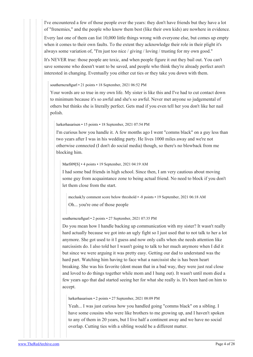I've encountered a few of those people over the years: they don't have friends but they have a lot of "frenemies," and the people who know them best (like their own kids) are nowhere in evidence.

Every last one of them can list 10,000 little things wrong with everyone else, but comes up empty when it comes to their own faults. To the extent they acknowledge their role in their plight it's always some variation of, "I'm just too nice / giving / loving / trusting for my own good."

It's NEVER true: those people are toxic, and when people figure it out they bail out. You can't save someone who doesn't want to be saved, and people who think they're already perfect aren't interested in changing. Eventually you either cut ties or they take you down with them.

#### [southerncraftgurl](https://old.reddit.com/user/southerncraftgurl) • 21 points • 18 September, 2021 06:52 PM

Your words are so true in my own life. My sister is like this and I've had to cut contact down to minimum because it's so awful and she's so awful. Never met anyone so judgemental of others but thinks she is literally perfect. Gets mad if you even tell her you don't like her nail polish.

#### [lurkerhasarisen](https://old.reddit.com/user/lurkerhasarisen) • 15 points • 18 September, 2021 07:54 PM

I'm curious how you handle it. A few months ago I went "comms black" on a guy less than two years after I was in his wedding party. He lives 1000 miles away and we're not otherwise connected (I don't do social media) though, so there's no blowback from me blocking him.

#### [Marfi09](https://old.reddit.com/user/Marfi09)[\[S](https://theredarchive.com/r/WhereAreAllTheGoodMen/comments/pqm55r/45yo_single_mom_smashed_the_wall_hard_this_should/)] • 4 points • 19 September, 2021 04:19 AM

I had some bad friends in high school. Since then, I am very cautious about moving some guy from acquaintance zone to being actual friend. No need to block if you don't let them close from the start.

[mcclusk3y](https://old.reddit.com/user/mcclusk3y) comment score below threshold • -8 points • 19 September, 2021 06:18 AM Oh... you're one of those people

#### [southerncraftgurl](https://old.reddit.com/user/southerncraftgurl) • 2 points • 27 September, 2021 07:35 PM

Do you mean how I handle backing up communication with my sister? It wasn't really hard actually because we got into an ugly fight so I just used that to not talk to her a lot anymore. She got used to it I guess and now only calls when she needs attention like narcissists do. I also told her I wasn't going to talk to her much anymore when I did it but since we were arguing it was pretty easy. Getting our dad to understand was the hard part. Watching him having to face what a narcissist she is has been heart breaking. She was his favorite (dont mean that in a bad way, they were just real close and loved to do things together while mom and I hung out). It wasn't until mom died a few years ago that dad started seeing her for what she really is. It's been hard on him to accept.

[lurkerhasarisen](https://old.reddit.com/user/lurkerhasarisen) • 2 points • 27 September, 2021 08:09 PM

Yeah... I was just curious how you handled going "comms black" on a sibling. I have some cousins who were like brothers to me growing up, and I haven't spoken to any of them in 20 years, but I live half a continent away and we have no social overlap. Cutting ties with a sibling would be a different matter.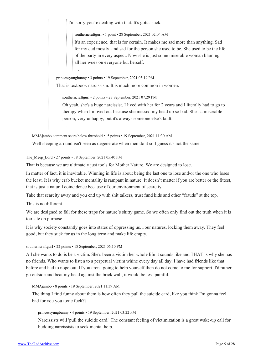I'm sorry you're dealing with that. It's gotta' suck.

[southerncraftgurl](https://old.reddit.com/user/southerncraftgurl) • 1 point • 28 September, 2021 02:04 AM

It's an experience, that is for certain. It makes me sad more than anything. Sad for my dad mostly. and sad for the person she used to be. She used to be the life of the party in every aspect. Now she is just some miserable woman blaming all her woes on everyone but herself.

[princessyungbunny](https://old.reddit.com/user/princessyungbunny) • 3 points • 19 September, 2021 03:19 PM

That is textbook narcissism. It is much more common in women.

[southerncraftgurl](https://old.reddit.com/user/southerncraftgurl) • 2 points • 27 September, 2021 07:29 PM

Oh yeah, she's a huge narcissist. I lived with her for 2 years and I literally had to go to therapy when I moved out because she messed my head up so bad. She's a miserable person, very unhappy, but it's always someone else's fault.

[MMAjambo](https://old.reddit.com/user/MMAjambo) comment score below threshold • -5 points • 19 September, 2021 11:30 AM

Well sleeping around isn't seen as degenerate when men do it so I guess it's not the same

The Meep Lord • 27 points • 18 September, 2021 05:40 PM

That is because we are ultimately just tools for Mother Nature. We are designed to lose.

In matter of fact, it is inevitable. Winning in life is about being the last one to lose and/or the one who loses the least. It is why crab bucket mentality is rampant in nature. It doesn't matter if you are better or the fittest, that is just a natural coincidence because of our environment of scarcity.

Take that scarcity away and you end up with shit talkers, trust fund kids and other "frauds" at the top.

This is no different.

We are designed to fall for these traps for nature's shitty game. So we often only find out the truth when it is too late on purpose

It is why society constantly goes into states of oppressing us…our natures, locking them away. They feel good, but they suck for us in the long term and make life empty.

[southerncraftgurl](https://old.reddit.com/user/southerncraftgurl) • 22 points • 18 September, 2021 06:10 PM

All she wants to do is be a victim. She's been a victim her whole life it sounds like and THAT is why she has no friends. Who wants to listen to a perpetual victim whine every day all day. I have had friends like that before and had to nope out. If you aren't going to help yourself then do not come to me for support. I'd rather go outside and beat my head against the brick wall, it would be less painful.

[MMAjambo](https://old.reddit.com/user/MMAjambo) • 8 points • 19 September, 2021 11:39 AM

The thing I find funny about them is how often they pull the suicide card, like you think I'm gonna feel bad for you you toxic fuck??

[princessyungbunny](https://old.reddit.com/user/princessyungbunny) • 4 points • 19 September, 2021 03:22 PM

Narcissists will 'pull the suicide card.' The constant feeling of victimization is a great wake-up call for budding narcissists to seek mental help.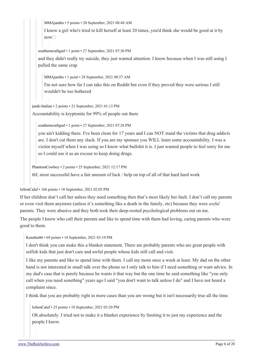[MMAjambo](https://old.reddit.com/user/MMAjambo) • 5 points • 20 September, 2021 08:48 AM

I know a girl who's tried to kill herself at least 20 times, you'd think she would be good at it by  $\mathsf{now} \Box$ 

[southerncraftgurl](https://old.reddit.com/user/southerncraftgurl) • 1 point • 27 September, 2021 07:30 PM

and they didn't really try suicide, they just wanted attention. I know because when I was still using I pulled the same crap.

[MMAjambo](https://old.reddit.com/user/MMAjambo) • 1 point • 28 September, 2021 08:57 AM

I'm not sure how far I can take this on Reddit but even if they proved they were serious I still wouldn't be too bothered

[janik-litalien](https://old.reddit.com/user/janik-litalien) • 2 points • 21 September, 2021 01:13 PM

Accountability is kryptonite for 99% of people out there

[southerncraftgurl](https://old.reddit.com/user/southerncraftgurl) • 1 point • 27 September, 2021 07:28 PM

you ain't kidding there. I've been clean for 17 years and I can NOT stand the victims that drug addicts are. I don't cut them any slack. If you are my sponsee you WILL learn some accountability. I was a victim myself when I was using so I know what bullshit it is. I just wanted people to feel sorry for me so I could use it as an excuse to keep doing drugs.

[PhantomCowboy](https://old.reddit.com/user/PhantomCowboy) • 2 points • 25 September, 2021 12:17 PM

tbf, most successful have a fair amount of luck / help on top of all of that hard hard work

[IoSonCalaf](https://old.reddit.com/user/IoSonCalaf) • 166 points • 18 September, 2021 02:05 PM

If her children don't call her unless they need something then that's most likely her fault. I don't call my parents or even visit them anymore (unless it's something like a death in the family, etc) because they were *awful* parents. They were abusive and they both took their deep-rooted psychological problems out on me.

The people I know who call their parents and like to spend time with them had loving, caring parents who were good to them.

[Kenshin86](https://old.reddit.com/user/Kenshin86) • 69 points • 18 September, 2021 03:19 PM

I don't think you can make this a blanket statement. There are probably parents who are great people with selfish kids that just don't care and awful people whose kids still call and visit.

I like my parents and like to spend time with them. I call my mom once a week at least. My dad on the other hand is not interested in small talk over the phone so I only talk to him if I need something or want advice. In my dad's case that is purely because he wants it that way but the one time he said something like "you only call when you need sonething" years ago I said "you don't want to talk unless I do" and I have not heard a complaint since.

I think that you are probably right in more cases than you are wrong but it isn't necessarily true all the time.

[IoSonCalaf](https://old.reddit.com/user/IoSonCalaf) • 25 points • 18 September, 2021 03:20 PM

Oh absolutely. I tried not to make it a blanket experience by limiting it to just my experience and the people I know.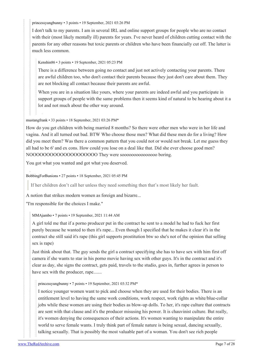[princessyungbunny](https://old.reddit.com/user/princessyungbunny) • 3 points • 19 September, 2021 03:26 PM

I don't talk to my parents. I am in several IRL and online support groups for people who are no contact with their (most likely mentally ill) parents for years. I've never heard of children cutting contact with the parents for any other reasons but toxic parents or children who have been financially cut off. The latter is much less common.

#### [Kenshin86](https://old.reddit.com/user/Kenshin86) • 3 points • 19 September, 2021 05:23 PM

There is a difference between going no contact and just not actively contacting your parents. There are awful children too, who don't contact their parents because they just don't care about them. They are not blocking all contact because their parents are awful.

When you are in a situation like yours, where your parents are indeed awful and you participate in support groups of people with the same problems then it seems kind of natural to be hearing about it a lot and not much about the other way around.

#### [mustangfrank](https://old.reddit.com/user/mustangfrank) • 33 points • 18 September, 2021 03:26 PM\*

How do you get children with being married 8 months? So there were other men who were in her life and vagina. And it all turned out bad. BTW Who choose those men? What did these men do for a living? How did you meet them? Was there a common pattern that you could not or would not break. Let me guess they all had to be 6' and ex cons. How could you lose on a deal like that. Did she ever choose good men? NOOOOOOOOOOOOOOOOOOOO They were sooooooooooooooo boring.

You got what you wanted and got what you deserved.

#### [BobbingForBunions](https://old.reddit.com/user/BobbingForBunions) • 27 points • 18 September, 2021 05:45 PM

If her children don't call her unless they need something then that's most likely her fault.

A notion that strikes modern women as foreign and bizarre...

"I'm responsible for the choices I make."

#### [MMAjambo](https://old.reddit.com/user/MMAjambo) • 7 points • 19 September, 2021 11:44 AM

A girl told me that if a porno producer put in the contract he sent to a model he had to fuck her first purely because he wanted to then it's rape... Even though I specified that he makes it clear it's in the contract she still said it's rape (this girl supports prostitution btw so she's not of the opinion that selling sex is rape)

Just think about that. The guy sends the girl a contract specifying she has to have sex with him first off camera if she wants to star in his porno movie having sex with other guys. It's in the contract and it's clear as day, she signs the contract, gets paid, travels to the studio, goes in, further agrees in person to have sex with the producer, rape.......

#### [princessyungbunny](https://old.reddit.com/user/princessyungbunny) • 7 points • 19 September, 2021 03:32 PM\*

I notice younger women want to pick and choose when they are used for their bodies. There is an entitlement level to having the same work conditions, work respect, work rights as white/blue-collar jobs while these women are using their bodies as blow-up dolls. To her, it's rape culture that contracts are sent with that clause and it's the producer misusing his power. It is chauvinist culture. But really, it's women denying the consequences of their actions. It's women wanting to manipulate the entire world to serve female wants. I truly think part of female nature is being sexual, dancing sexually, talking sexually. That is possibly the most valuable part of a woman. You don't see rich people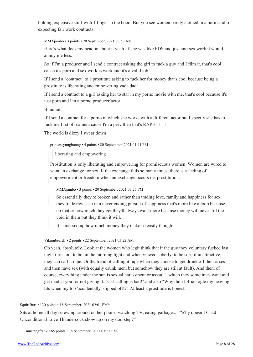holding expensive stuff with 1 finger in the hood. But you see women barely clothed in a porn studio expecting fair work contracts.

[MMAjambo](https://old.reddit.com/user/MMAjambo) • 3 points • 20 September, 2021 08:56 AM

Here's what does my head in about it yeah. If she was like FDS and just anti sex work it would annoy me less.

So if I'm a producer and I send a contract asking the girl to fuck a guy and I film it, that's cool cause it's porn and sex work is work and it's a valid job.

If I send a "contract" to a prostitute asking to fuck her for money that's cool because being a prostitute is liberating and empowering yada dada.

If I send a contract to a girl asking her to star in my porno movie with me, that's cool because it's just porn and I'm a porno producer/actor

Buuuuut

If I send a contract for a porno in which she works with a different actor but I specify she has to fuck me first off camera cause I'm a perv then that's RAPE $\square \square$ 

The world is dizzy I swear down

[princessyungbunny](https://old.reddit.com/user/princessyungbunny) • 4 points • 20 September, 2021 01:41 PM

liberating and empowering

Prostitution is only liberating and empowering for promiscuous women. Women are wired to want an exchange for sex. If the exchange fails so many times, there is a feeling of empowerment or freedom when an exchange occurs i.e. prostitution.

[MMAjambo](https://old.reddit.com/user/MMAjambo) • 3 points • 20 September, 2021 03:25 PM

So essentially they're broken and rather than trading love, family and happiness for sex they trade raw cash in a never ending pursuit of happiness that's more like a loop because no matter how much they get they'll always want more because money will never fill the void in them but they think it will.

It is messed up how much money they make so easily though

[Vikingbeard1](https://old.reddit.com/user/Vikingbeard1) • 2 points • 22 September, 2021 03:22 AM

Oh yeah, absolutely. Look at the women who legit think that if the guy they voluntary fucked last night turns out to be, in the morning light and when viewed soberly, to be sort of unattractive, they can call it rape. Or the trend of calling it rape when they choose to get drunk off their asses and then have sex (with equally drunk men, but somehow they are still at fault). And then, of course, everything under the sun is sexual harassment or assault...which they sometimes want and get mad at you for not giving it. "Cat-calling is bad!" and also "Why didn't Brian ogle my heaving tits when my top 'accidentally' slipped off!?" At least a prostitute is honest.

[SquirtBurt](https://old.reddit.com/user/SquirtBurt) • 130 points • 18 September, 2021 02:01 PM\*

Sits at home all day screwing around on her phone, watching TV, eating garbage.... "Why doesn't Chad Unconditional Love Thundercock show up on my doorstep?"

[mustangfrank](https://old.reddit.com/user/mustangfrank) • 65 points • 18 September, 2021 03:27 PM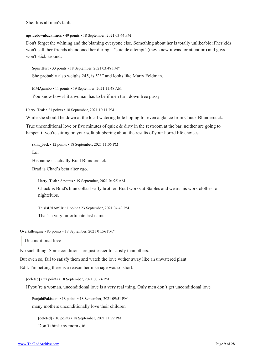She: It is all men's fault.

[upsidedownbackwards](https://old.reddit.com/user/upsidedownbackwards) • 49 points • 18 September, 2021 03:44 PM

Don't forget the whining and the blaming everyone else. Something about her is totally unlikeable if her kids won't call, her friends abandoned her during a "suicide attempt" (they knew it was for attention) and guys won't stick around.

[SquirtBurt](https://old.reddit.com/user/SquirtBurt) • 33 points • 18 September, 2021 03:48 PM\*

She probably also weighs 245, is 5'3" and looks like Marty Feldman.

[MMAjambo](https://old.reddit.com/user/MMAjambo) • 11 points • 19 September, 2021 11:48 AM

You know how shit a woman has to be if men turn down free pussy

Harry Teak • 21 points • 18 September, 2021 10:11 PM

While she should be down at the local watering hole hoping for even a glance from Chuck Blundercuck.

True unconditional love or five minutes of quick & dirty in the restroom at the bar, neither are going to happen if you're sitting on your sofa blubbering about the results of your horrid life choices.

[skint\\_back](https://old.reddit.com/user/skint_back) • 12 points • 18 September, 2021 11:06 PM

Lol

His name is actually Brad Blundercuck.

Brad is Chad's beta alter ego.

Harry Teak • 8 points • 19 September, 2021 04:25 AM

Chuck is Brad's blue collar barfly brother. Brad works at Staples and wears his work clothes to nightclubs.

[ThisIsUrIAmUr](https://old.reddit.com/user/ThisIsUrIAmUr) • 1 point • 23 September, 2021 04:49 PM

That's a very unfortunate last name

[Overkillengine](https://old.reddit.com/user/Overkillengine) • 83 points • 18 September, 2021 01:56 PM\*

Unconditional love

No such thing. Some conditions are just easier to satisfy than others.

But even so, fail to satisfy them and watch the love wither away like an unwatered plant.

Edit: I'm betting there is a reason her marriage was so short.

[deleted] • 27 points • 18 September, 2021 08:24 PM

If you're a woman, unconditional love is a very real thing. Only men don't get unconditional love

[PunjabiPakistani](https://old.reddit.com/user/PunjabiPakistani) • 18 points • 18 September, 2021 09:51 PM many mothers unconditionally love their children

[deleted] • 10 points • 18 September, 2021 11:22 PM Don't think my mom did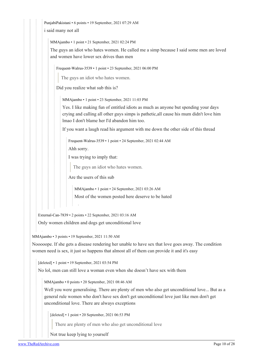[PunjabiPakistani](https://old.reddit.com/user/PunjabiPakistani) • 6 points • 19 September, 2021 07:29 AM i said many not all

[MMAjambo](https://old.reddit.com/user/MMAjambo) • 1 point • 21 September, 2021 02:24 PM

The guys an idiot who hates women. He called me a simp because I said some men are loved and women have lower sex drives than men

[Frequent-Walrus-3539](https://old.reddit.com/user/Frequent-Walrus-3539) • 1 point • 23 September, 2021 06:00 PM

The guys an idiot who hates women.

Did you realize what sub this is?

[MMAjambo](https://old.reddit.com/user/MMAjambo) • 1 point • 23 September, 2021 11:03 PM

Yes. I like making fun of entitled idiots as much as anyone but spending your days crying and calling all other guys simps is pathetic,all cause his mum didn't love him lmao I don't blame her I'd abandon him too.

If you want a laugh read his argument with me down the other side of this thread

[Frequent-Walrus-3539](https://old.reddit.com/user/Frequent-Walrus-3539) • 1 point • 24 September, 2021 02:44 AM

Ahh sorry.

I was trying to imply that:

The guys an idiot who hates women.

Are the users of this sub

[MMAjambo](https://old.reddit.com/user/MMAjambo) • 1 point • 24 September, 2021 03:26 AM Most of the women posted here deserve to be hated

[External-Can-7839](https://old.reddit.com/user/External-Can-7839) • 2 points • 22 September, 2021 03:16 AM

Only women children and dogs get unconditional love

[MMAjambo](https://old.reddit.com/user/MMAjambo) • 3 points • 19 September, 2021 11:50 AM

Nooooope. If she gets a disease rendering her unable to have sex that love goes away. The condition women need is sex, it just so happens that almost all of them can provide it and it's easy

[deleted] • 1 point • 19 September, 2021 03:54 PM

No lol, men can still love a woman even when she doesn't have sex with them

[MMAjambo](https://old.reddit.com/user/MMAjambo) • 0 points • 20 September, 2021 08:46 AM

Well you were generalising. There are plenty of men who also get unconditional love... But as a general rule women who don't have sex don't get unconditional love just like men don't get unconditional love. There are always exceptions

[deleted] • 1 point • 20 September, 2021 06:53 PM

There are plenty of men who also get unconditional love

Not true keep lying to yourself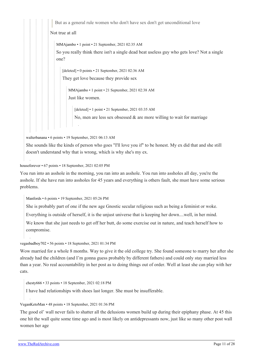But as a general rule women who don't have sex don't get unconditional love

Not true at all

[MMAjambo](https://old.reddit.com/user/MMAjambo) • 1 point • 21 September, 2021 02:35 AM So you really think there isn't a single dead beat useless guy who gets love? Not a single one?

[deleted] • 0 points • 21 September, 2021 02:36 AM They get love because they provide sex

[MMAjambo](https://old.reddit.com/user/MMAjambo) • 1 point • 21 September, 2021 02:38 AM Just like women.

[deleted] • 1 point • 21 September, 2021 03:35 AM

No, men are less sex obsessed  $\&$  are more willing to wait for marriage

[walterbanana](https://old.reddit.com/user/walterbanana) • 6 points • 19 September, 2021 06:13 AM

She sounds like the kinds of person who goes "I'll love you if" to be honest. My ex did that and she still doesn't understand why that is wrong, which is why she's my ex.

[houseforever](https://old.reddit.com/user/houseforever) • 67 points • 18 September, 2021 02:05 PM

You run into an asshole in the morning, you ran into an asshole. You run into assholes all day, you're the asshole. If she have run into assholes for 45 years and everything is others fault, she must have some serious problems.

[Manfords](https://old.reddit.com/user/Manfords) • 6 points • 19 September, 2021 05:26 PM

She is probably part of one if the new age Gnostic secular religious such as being a feminist or woke.

Everything is outside of herself, it is the unjust universe that is keeping her down....well, in her mind.

We know that she just needs to get off her butt, do some exercise out in nature, and teach herself how to compromise.

[vegasbadboy702](https://old.reddit.com/user/vegasbadboy702) • 56 points • 18 September, 2021 01:34 PM

Wow married for a whole 8 months. Way to give it the old college try. She found someone to marry her after she already had the children (and I'm gonna guess probably by different fathers) and could only stay married less than a year. No real accountability in her post as to doing things out of order. Well at least she can play with her cats.

[chesty666](https://old.reddit.com/user/chesty666) • 33 points • 18 September, 2021 02:18 PM

I have had relationships with shoes last longer. She must be insufferable.

### [VeganKetoMan](https://old.reddit.com/user/VeganKetoMan) • 48 points • 18 September, 2021 01:36 PM

The good ol' wall never fails to shatter all the delusions women build up during their epiphany phase. At 45 this one hit the wall quite some time ago and is most likely on antidepressants now, just like so many other post wall women her age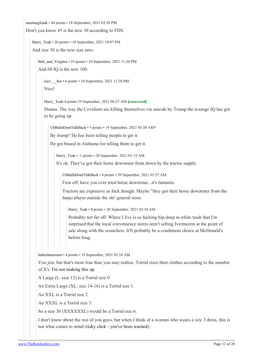[mustangfrank](https://old.reddit.com/user/mustangfrank) • 44 points • 18 September, 2021 03:28 PM Don't you know 45 is the new 30 according to FDS.

Harry Teak • 20 points • 18 September, 2021 10:07 PM And size 30 is the new size zero.

Bob and Virginia • 19 points • 18 September, 2021 11:20 PM And 69 IQ is the new 100.

nice bot • 6 points • 18 September, 2021 11:20 PM Nice!

[Harry\\_Teak-](https://old.reddit.com/user/Harry_Teak)4 points 19 September, 2021 04:27 AM **[recovered]**

Dunno. The way the Covidiots are killing themselves via suicide by Trump the average IQ has got to be going up.

[UhBallsDontTalkBack](https://old.reddit.com/user/UhBallsDontTalkBack) • 5 points • 19 September, 2021 05:58 AM\*

By trump? He has been telling people to get it.

He got booed in Alabama for telling them to get it.

Harry Teak • -1 points • 20 September, 2021 01:15 AM

It's ok. They've got their horse dewormer from down by the tractor supply.

[UhBallsDontTalkBack](https://old.reddit.com/user/UhBallsDontTalkBack) • 4 points • 20 September, 2021 01:57 AM

First off, have you ever tried horse dewormer...it's fantastic.

Tractors are expensive as fuck though. Maybe "they got their horse dewormer from the banjo player outside the ole' general store.

Harry Teak • 0 points • 20 September, 2021 02:34 AM

Probably not far off. Where I live is so fucking hip-deep in white trash that I'm surprised that the local convenience stores aren't selling Ivermectin at the point of sale along with the scratchers. It'll probably be a condiment choice at McDonald's before long.

[lurkerhasarisen](https://old.reddit.com/user/lurkerhasarisen) • 4 points • 19 September, 2021 03:24 AM

You jest, but that's more true than you may realize. Torrid sizes their clothes according to the number of X's. [I'm not making this up.](https://external-content.duckduckgo.com/iu/?u=https%3A%2F%2Fi.pinimg.com%2Foriginals%2Fc0%2Fcb%2F3b%2Fc0cb3b19e3dbd54fac134b31206650f1.jpg)

A Large (L: size 12) is a Torrid size 0.

An Extra Large (XL: size 14-16) is a Torrid size 1.

An XXL is a Torrid size 2.

An XXXL is a Torrid size 3.

So a size 30 (XXXXXXL) would be a Torrid size 6.

I don't know about the rest of you guys, but when I think of a woman who wears a size 3 dress, this is not what comes to mind [\(risky click - you've been warned](https://external-content.duckduckgo.com/iu/?u=https%3A%2F%2Fakns-images.eonline.com%2Feol_images%2FEntire_Site%2F2020026%2Frs_634x1024-200126131324-634-Tess-Holiday-2020-grammy-awards-red-carpet-fashion.jpg)).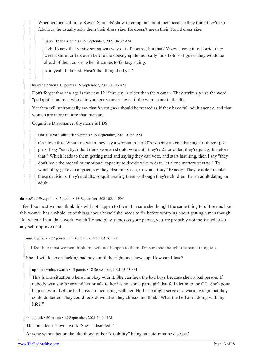When women call in to Keven Samuels' show to complain about men because they think they're so fabulous, he usually asks them their dress size. He doesn't mean their Torrid dress size.

Harry Teak • 4 points • 19 September, 2021 04:32 AM

Ugh. I knew that vanity sizing was way out of control, but that? Yikes. Leave it to Torrid, they were a store for fats even before the obesity epidemic really took hold so I guess they would be ahead of the... curves when it comes to fantasy sizing.

And yeah, I clicked. Hasn't that thing died yet?

[lurkerhasarisen](https://old.reddit.com/user/lurkerhasarisen) • 10 points • 19 September, 2021 03:06 AM

Don't forget that any age is the new 12 if the guy is older than the woman. They seriously use the word "pedophile" on men who date younger women - even if the women are in the 30s.

Yet they will unironically say that *literal girls* should be treated as if they have full adult agency, and that women are more mature than men are.

Cognitive Dissonance, thy name is FDS.

[UhBallsDontTalkBack](https://old.reddit.com/user/UhBallsDontTalkBack) • 9 points • 19 September, 2021 03:55 AM

Oh i love this. What i do when they say a woman in her 20's is being taken advantage of theyre just girls, I say "exactly, i dont think woman should vote until they're 25 or older, they're just girls before that." Which leads to them getting mad and saying they can vote, and start insulting, then I say "they don't have the mental or emotional capacity to decide who to date, let alone matters of state." To which they get even angrier, say they absolutely can, to which i say "Exactly! They're able to make these decisions, they're adults, so quit treating them as though they're children. It's an adult dating an adult.

#### [throwsFatalException](https://old.reddit.com/user/throwsFatalException) • 43 points • 18 September, 2021 02:11 PM

I feel like most women think this will not happen to them. I'm sure she thought the same thing too. It seems like this woman has a whole lot of things about herself she needs to fix before worrying about getting a man though. But when all you do is work, watch TV and play games on your phone, you are probably not motivated to do any self improvement.

[mustangfrank](https://old.reddit.com/user/mustangfrank) • 27 points • 18 September, 2021 03:36 PM

I feel like most women think this will not happen to them. I'm sure she thought the same thing too.

She : I will keep on fucking bad boys until the right one shows up. How can I lose?

[upsidedownbackwards](https://old.reddit.com/user/upsidedownbackwards) • 13 points • 18 September, 2021 03:53 PM

This is one situation where I'm okay with it. She can fuck the bad boys because she's a bad person. If nobody wants to be around her or talk to her it's not some party girl that fell victim to the CC. She's gotta be just awful. Let the bad boys do their thing with her. Hell, she might serve as a warning sign that they could do better. They could look down after they climax and think "What the hell am I doing with my life?!"

[skint\\_back](https://old.reddit.com/user/skint_back) • 20 points • 18 September, 2021 04:14 PM

This one doesn't even work. She's "disabled."

Anyone wanna bet on the likelihood of her "disability" being an autoimmune disease?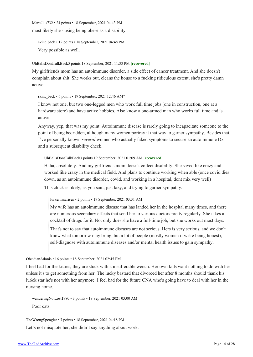[Martellus732](https://old.reddit.com/user/Martellus732) • 24 points • 18 September, 2021 04:43 PM most likely she's using being obese as a disability.

[skint\\_back](https://old.reddit.com/user/skint_back) • 12 points • 18 September, 2021 04:48 PM Very possible as well.

[UhBallsDontTalkBack](https://old.reddit.com/user/UhBallsDontTalkBack)5 points 18 September, 2021 11:33 PM **[recovered]**

My girlfriends mom has an autoimmune disorder, a side effect of cancer treatment. And she doesn't complain about shit. She works out, cleans the house to a fucking ridiculous extent, she's pretty damn active.

skint back • 6 points • 19 September, 2021 12:46 AM\*

I know not one, but two one-legged men who work full time jobs (one in construction, one at a hardware store) and have active hobbies. Also know a one-armed man who works full time and is active.

Anyway, yep, that was my point. Autoimmune disease is rarely going to incapacitate someone to the point of being bedridden, although many women portray it that way to garner sympathy. Besides that, I've personally known *several* women who actually faked symptoms to secure an autoimmune Dx and a subsequent disability check.

[UhBallsDontTalkBack3](https://old.reddit.com/user/UhBallsDontTalkBack) points 19 September, 2021 01:09 AM **[recovered]**

Haha, absolutely. And my girlfriends mom doesn't collect disability. She saved like crazy and worked like crazy in the medical field. And plans to continue working when able (once covid dies down, as an autoimmune disorder, covid, and working in a hospital, dont mix very well)

This chick is likely, as you said, just lazy, and trying to garner sympathy.

[lurkerhasarisen](https://old.reddit.com/user/lurkerhasarisen) • 2 points • 19 September, 2021 03:31 AM

My wife has an autoimmune disease that has landed her in the hospital many times, and there are numerous secondary effects that send her to various doctors pretty regularly. She takes a cocktail of drugs for it. Not only does she have a full-time job, but she works out most days.

That's not to say that autoimmune diseases are not serious. Hers is very serious, and we don't know what tomorrow may bring, but a lot of people (mostly women if we're being honest), self-diagnose with autoimmune diseases and/or mental health issues to gain sympathy.

[ObsidianAdonis](https://old.reddit.com/user/ObsidianAdonis) • 16 points • 18 September, 2021 02:45 PM

I feel bad for the kitties, they are stuck with a insufferable wench. Her own kids want nothing to do with her unless it's to get something from her. The lucky bastard that divorced her after 8 months should thank his lu6ck star he's not with her anymore. I feel bad for the future CNA who's going have to deal with her in the nursing home.

[wanderingNotLost1980](https://old.reddit.com/user/wanderingNotLost1980) • 3 points • 19 September, 2021 03:00 AM Poor cats.

[TheWrongSpengler](https://old.reddit.com/user/TheWrongSpengler) • 7 points • 18 September, 2021 04:18 PM

Let's not misquote her; she didn't say anything about work.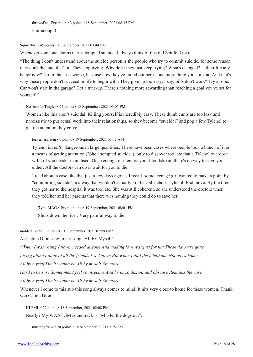[throwsFatalException](https://old.reddit.com/user/throwsFatalException) • 3 points • 18 September, 2021 08:35 PM

Fair enough!

[SquirtBurt](https://old.reddit.com/user/SquirtBurt) • 45 points • 18 September, 2021 03:44 PM

Whenever someone claims they attempted suicide, I always think of this old Seinfeld joke.

"The thing I don't understand about the suicide person is the people who try to commit suicide, for some reason they don't die, and that's it. They stop trying. Why don't they just keep trying? What's changed? Is their life any better now? No. In fact. it's worse, because now they've found out here's one more thing you stink at. And that's why these people don't succeed in life to begin with. They give up too easy. I say, pills don't work? Try a rope. Car won't start in the garage? Get a tune-up. There's nothing more rewarding than reaching a goal you've set for yourself."

#### [NoTearsNoTingles](https://old.reddit.com/user/NoTearsNoTingles) • 25 points • 18 September, 2021 06:05 PM

Women like this aren't suicidal. Killing yourself is incredibly easy. These dumb cunts are too lazy and narcissistic to put actual work into their relationships, so they become "suicidal" and pop a few Tylenol to get the attention they crave.

[lurkerhasarisen](https://old.reddit.com/user/lurkerhasarisen) • 6 points • 19 September, 2021 03:42 AM

Tylenol is *really* dangerous in large quantities. There have been cases where people took a bunch of it as a means of getting attention ("She attempted suicide"), only to discover too late that a Tylenol overdose will kill you deader than disco. Once enough of it enters your bloodstream there's no way to save you, either. All the doctors can do is wait for you to die.

I read about a case like that just a few days ago: as I recall, some teenage girl wanted to make a point by "committing suicide" in a way that wouldn't actually kill her. She chose Tylenol. Bad move. By the time they got her to the hospital it was too late. She was still coherent, so she understood the doctors when they told her and her parents that there was nothing they could do to save her.

[Typo-MAGAshiv](https://old.reddit.com/user/Typo-MAGAshiv) • 4 points • 19 September, 2021 08:01 PM Shuts down the liver. Very painful way to die.

molded bread • 38 points • 18 September, 2021 01:59 PM\*

As Celine Dion sang in her song "All By Myself".

*"When I was young I never needed anyone And making love was just for fun Those days are gone*

*Living alone I think of all the friends I've known But when I dial the telephone Nobody's home*

*All by myself Don't wanna be All by myself Anymore*

*Hard to be sure Sometimes I feel so insecure And loves so distant and obscure Remains the cure*

*All by myself Don't wanna be All by myself Anymore"*

Whenever i come to this sub this song always comes to mind. It hits very close to home for these women. Thank you Celine Dion.

[HLFML](https://old.reddit.com/user/HLFML) • 27 points • 18 September, 2021 02:08 PM

Really? My WAATGM soundtrack is "who let the dogs out".

[mustangfrank](https://old.reddit.com/user/mustangfrank) • 20 points • 18 September, 2021 03:29 PM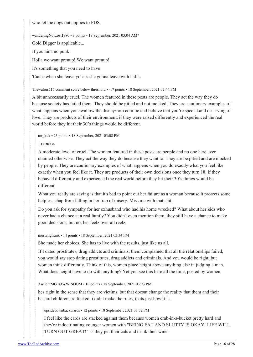who let the dogs out applies to FDS.

[wanderingNotLost1980](https://old.reddit.com/user/wanderingNotLost1980) • 3 points • 19 September, 2021 03:04 AM\*

Gold Digger is applicable...

If you ain't no punk

Holla we want prenup! We want prenup!

It's something that you need to have

'Cause when she leave yo' ass she gonna leave with half...

[Thewalrus515](https://old.reddit.com/user/Thewalrus515) comment score below threshold • -17 points • 18 September, 2021 02:44 PM

A bit unnecessarily cruel. The women featured in these posts are people. They act the way they do because society has failed them. They should be pitied and not mocked. They are cautionary examples of what happens when you swallow the disney/rom com lie and believe that you're special and deserving of love. They are products of their environment, if they were raised differently and experienced the real world before they hit their 30's things would be different.

[mr\\_kuk](https://old.reddit.com/user/mr_kuk) • 23 points • 18 September, 2021 03:02 PM

I rebuke.

A moderate level of cruel. The women featured in these posts are people and no one here ever claimed otherwise. They act the way they do because they want to. They are be pitied and are mocked by people. They are cautionary examples of what happens when you do exactly what you feel like exactly when you feel like it. They are products of their own decisions once they turn 18, if they behaved differently and experienced the real world before they hit their 30's things would be different.

What you really are saying is that it's bad to point out her failure as a woman because it protects some helpless chap from falling in her trap of misery. Miss me with that shit.

Do you ask for sympathy for her exhusband who had his home wrecked? What about her kids who never had a chance at a real family? You didn't even mention them, they still have a chance to make good decisions, but no, her feelz over all reelz.

[mustangfrank](https://old.reddit.com/user/mustangfrank) • 14 points • 18 September, 2021 03:34 PM

She made her choices. She has to live with the results, just like us all.

If I dated prostitutes, drug addicts and criminals, them complained that all the relationships failed, you would say stop dating prostitutes, drug addicts and criminals. And you would be right, but women think differently. Think of this, women place height above anything else in judging a man. What does height have to do with anything? Yet you see this here all the time, posted by women.

[AncientMGTOWWISDOM](https://old.reddit.com/user/AncientMGTOWWISDOM) • 10 points • 18 September, 2021 03:23 PM

hes right in the sense that they are victims, but that doesnt change the reality that them and their bastard children are fucked. i didnt make the rules, thats just how it is.

[upsidedownbackwards](https://old.reddit.com/user/upsidedownbackwards) • 12 points • 18 September, 2021 03:52 PM

I feel like the cards are stacked against them because women crab-in-a-bucket pretty hard and they're indoctrinating younger women with "BEING FAT AND SLUTTY IS OKAY! LIFE WILL TURN OUT GREAT!" as they pet their cats and drink their wine.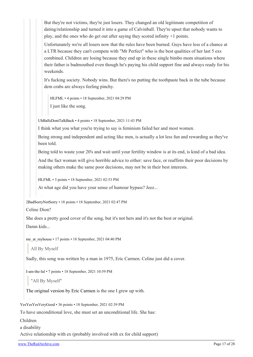But they're not victims, they're just losers. They changed an old legitimate competition of dating/relationship and turned it into a game of Calvinball. They're upset that nobody wants to play, and the ones who do get out after saying they scored infinity +1 points.

Unfortunately we're all losers now that the rules have been burned. Guys have less of a chance at a LTR because they can't compete with "Mr Perfect" who is the best qualities of her last 5 exs combined. Children are losing because they end up in these single bimbo mom situations where their father is badmouthed even though he's paying his child support fine and always ready for his weekends.

It's fucking society. Nobody wins. But there's no putting the toothpaste back in the tube because dem crabs are always feeling pinchy.

[HLFML](https://old.reddit.com/user/HLFML) • 4 points • 18 September, 2021 04:29 PM I just like the song.

[UhBallsDontTalkBack](https://old.reddit.com/user/UhBallsDontTalkBack) • 4 points • 18 September, 2021 11:43 PM

I think what you what you're trying to say is feminism failed her and most women.

Being strong and independent and acting like men, is actually a lot less fun and rewarding as they've been told.

Being told to waste your 20's and wait until your fertility window is at its end, is kind of a bad idea.

And the fact woman will give horrible advice to either: save face, or reaffirm their poor decisions by making others make the same poor decisions, may not be in their best interests.

[HLFML](https://old.reddit.com/user/HLFML) • 3 points • 18 September, 2021 02:53 PM

At what age did you have your sense of humour bypass? Jeez...

[2BadSorryNotSorry](https://old.reddit.com/user/2BadSorryNotSorry) • 18 points • 18 September, 2021 02:47 PM

Celine Dion?

She does a pretty good cover of the song, but it's not hers and it's not the best or original.

Damn kids...

[me\\_at\\_myhouse](https://old.reddit.com/user/me_at_myhouse) • 17 points • 18 September, 2021 04:40 PM

All By Myself

Sadly, this song was written by a man in 1975, Eric Carmen. Celine just did a cover.

[I-am-the-lul](https://old.reddit.com/user/I-am-the-lul) • 7 points • 18 September, 2021 10:59 PM

"All By Myself"

[The original version by Eric Carmen](https://www.youtube.com/watch?v=sJZ2BOjANxg) is the one I grew up with.

[YesYesYesVeryGood](https://old.reddit.com/user/YesYesYesVeryGood) • 36 points • 18 September, 2021 02:39 PM

To have unconditional love, she must set an unconditional life. She has:

Children

a disability

Active relationship with ex (probably involved with ex for child support)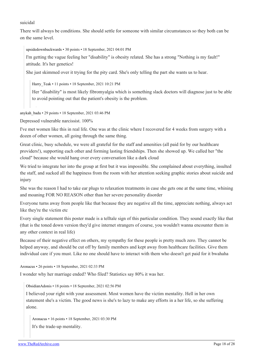#### suicidal

There will always be conditions. She should settle for someone with similar circumstances so they both can be on the same level.

[upsidedownbackwards](https://old.reddit.com/user/upsidedownbackwards) • 30 points • 18 September, 2021 04:01 PM

I'm getting the vague feeling her "disability" is obesity related. She has a strong "Nothing is my fault!" attitude. It's her genetics!

She just skimmed over it trying for the pity card. She's only telling the part she wants us to hear.

Harry Teak • 11 points • 18 September, 2021 10:21 PM

Her "disability" is most likely fibromyalgia which is something slack doctors will diagnose just to be able to avoid pointing out that the patient's obesity is the problem.

[anykah\\_badu](https://old.reddit.com/user/anykah_badu) • 29 points • 18 September, 2021 03:46 PM

Depressed vulnerable narcissist. 100%

I've met women like this in real life. One was at the clinic where I recovered for 4 weeks from surgery with a dozen of other women, all going through the same thing.

Great clinic, busy schedule, we were all grateful for the staff and amenities (all paid for by our healthcare providers!), supporting each other and forming lasting friendships. Then she showed up. We called her "the cloud" because she would hang over every conversation like a dark cloud

We tried to integrate her into the group at first but it was impossible. She complained about everything, insulted the staff, and sucked all the happiness from the room with her attention seeking graphic stories about suicide and injury

She was the reason I had to take ear plugs to relaxation treatments in case she gets one at the same time, whining and moaning FOR NO REASON other than her severe personality disorder

Everyone turns away from people like that because they are negative all the time, appreciate nothing, always act like they're the victim etc

Every single statement this poster made is a telltale sign of this particular condition. They sound exactly like that (that is the toned down version they'd give internet strangers of course, you wouldn't wanna encounter them in any other context in real life)

Because of their negative effect on others, my sympathy for these people is pretty much zero. They cannot be helped anyway, and should be cut off by family members and kept away from healthcare facilities. Give them individual care if you must. Like no one should have to interact with them who doesn't get paid for it bwahaha

[Aronacus](https://old.reddit.com/user/Aronacus) • 26 points • 18 September, 2021 02:33 PM

I wonder why her marriage ended? Who filed? Statistics say 80% it was her.

[ObsidianAdonis](https://old.reddit.com/user/ObsidianAdonis) • 18 points • 18 September, 2021 02:56 PM

I believed your right with your assessment. Most women have the victim mentality. Hell in her own statement she's a victim. The good news is she's to lazy to make any efforts in a her life, so she suffering alone.

[Aronacus](https://old.reddit.com/user/Aronacus) • 16 points • 18 September, 2021 03:30 PM It's the trade-up mentality.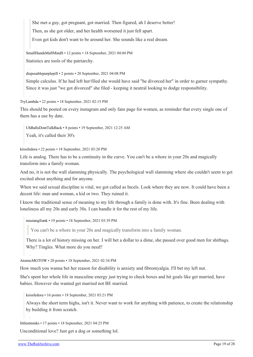She met a guy, got pregnant, got married. Then figured, ah I deserve better!

Then, as she got older, and her health worsened it just fell apart.

Even get kids don't want to be around her. She sounds like a real dream.

[SmallHandsMallMindS](https://old.reddit.com/user/SmallHandsMallMindS) • 12 points • 18 September, 2021 04:04 PM

Statistics are tools of the patriarchy.

[disposablepurplepill](https://old.reddit.com/user/disposablepurplepill) • 2 points • 20 September, 2021 04:08 PM

Simple calculus. If he had left her/filed she would have said "he divorced her" in order to garner sympathy. Since it was just "we got divorced" she filed - keeping it neutral looking to dodge responsibility.

[TryLambda](https://old.reddit.com/user/TryLambda) • 22 points • 18 September, 2021 02:15 PM

This should be posted on every instagram and only fans page for women, as reminder that every single one of them has a use by date.

[UhBallsDontTalkBack](https://old.reddit.com/user/UhBallsDontTalkBack) • 8 points • 19 September, 2021 12:25 AM Yeah, it's called their 30's

[krissfedora](https://old.reddit.com/user/krissfedora) • 22 points • 18 September, 2021 03:20 PM

Life is analog. There has to be a continuity in the curve. You can't be a whore in your 20s and magically transform into a family woman.

And no, it is not the wall slamming physically. The psychological wall slamming where she couldn't seem to get excited about anything and for anyone.

When we said sexual discipline is vital, we got called as Incels. Look where they are now. It could have been a decent life: man and woman, a kid or two. They ruined it.

I know the traditional sense of meaning to my life through a family is done with. It's fine. Been dealing with loneliness all my 20s and early 30s. I can handle it for the rest of my life.

[mustangfrank](https://old.reddit.com/user/mustangfrank) • 19 points • 18 September, 2021 03:39 PM

You can't be a whore in your 20s and magically transform into a family woman.

There is a lot of history missing on her. I will bet a dollar to a dime, she passed over good men for shitbags. Why? Tingles. What more do you need?

[AtomicMGTOW](https://old.reddit.com/user/AtomicMGTOW) • 20 points • 18 September, 2021 02:34 PM

How much you wanna bet her reason for disability is anxiety and fibromyalgia. I'll bet my left nut.

She's spent her whole life in masculine energy just trying to check boxes and hit goals like get married, have babies. However she wanted get married not BE married.

[krissfedora](https://old.reddit.com/user/krissfedora) • 16 points • 18 September, 2021 03:21 PM

Always the short term highs, isn't it. Never want to work for anything with patience, to create the relationship by building it from scratch.

[littlestminks](https://old.reddit.com/user/littlestminks) • 17 points • 18 September, 2021 04:25 PM

Unconditional love? Just get a dog or something lol.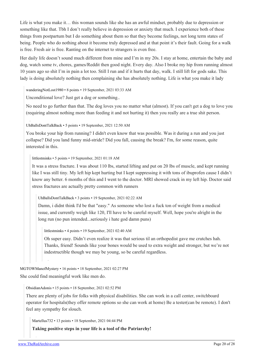Life is what you make it… this woman sounds like she has an awful mindset, probably due to depression or something like that. Tbh I don't really believe in depression or anxiety that much. I experience both of these things from postpartum but I do something about them so that they become feelings, not long term states of being. People who do nothing about it become truly depressed and at that point it's their fault. Going for a walk is free. Fresh air is free. Ranting on the internet to strangers is even free.

Her daily life doesn't sound much different from mine and I'm in my 20s. I stay at home, entertain the baby and dog, watch some tv, chores, games/Reddit then good night. Every day. Also I broke my hip from running almost 10 years ago so shit I'm in pain a lot too. Still I run and if it hurts that day, walk. I still lift for gods sake. This lady is doing absolutely nothing then complaining she has absolutely nothing. Life is what you make it lady

[wanderingNotLost1980](https://old.reddit.com/user/wanderingNotLost1980) • 8 points • 19 September, 2021 03:33 AM

Unconditional love? Just get a dog or something..

No need to go further than that. The dog loves you no matter what (almost). If you can't get a dog to love you (requiring almost nothing more than feeding it and not hurting it) then you really are a true shit person.

[UhBallsDontTalkBack](https://old.reddit.com/user/UhBallsDontTalkBack) • 5 points • 19 September, 2021 12:50 AM

You broke your hip from running? I didn't even know that was possible. Was it during a run and you just collapse? Did you land funny mid-stride? Did you fall, causing the break? I'm, for some reason, quite interested in this.

[littlestminks](https://old.reddit.com/user/littlestminks) • 5 points • 19 September, 2021 01:18 AM

It was a stress fracture. I was about 110 lbs, started lifting and put on 20 lbs of muscle, and kept running like I was still tiny. My left hip kept hurting but I kept suppressing it with tons of ibuprofen cause I didn't know any better. 6 months of this and I went to the doctor. MRI showed crack in my left hip. Doctor said stress fractures are actually pretty common with runners

[UhBallsDontTalkBack](https://old.reddit.com/user/UhBallsDontTalkBack) • 3 points • 19 September, 2021 02:22 AM

Damn, i didnt think I'd be that "easy." As someone who lost a fuck ton of weight from a medical issue, and currently weigh like 120, I'll have to be careful myself. Well, hope you're alright in the long run (no pun intended...seriously i hate god damn puns)

[littlestminks](https://old.reddit.com/user/littlestminks) • 4 points • 19 September, 2021 02:40 AM

Oh super easy. Didn't even realize it was that serious til an orthopedist gave me crutches hah. Thanks, friend! Sounds like your bones would be used to extra weight and stronger, but we're not indestructible though we may be young, so be careful regardless.

[MGTOWManofMystery](https://old.reddit.com/user/MGTOWManofMystery) • 16 points • 18 September, 2021 02:27 PM

She could find meaningful work like men do.

[ObsidianAdonis](https://old.reddit.com/user/ObsidianAdonis) • 15 points • 18 September, 2021 02:52 PM

There are plenty of jobs for folks with physical disabilities. She can work in a call center, switchboard operator for hospitals(they offer remote options so she can work at home) Be a tester(can be remote). I don't feel any sympathy for slouch.

[Martellus732](https://old.reddit.com/user/Martellus732) • 13 points • 18 September, 2021 04:44 PM

**Taking positive steps in your life is a tool of the Patriarchy!**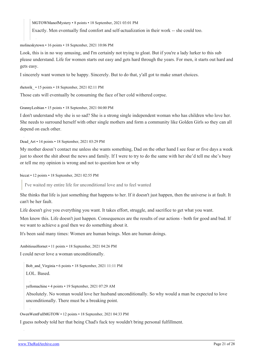[MGTOWManofMystery](https://old.reddit.com/user/MGTOWManofMystery) • 8 points • 18 September, 2021 03:01 PM

Exactly. Men eventually find comfort and self-actualization in their work -- she could too.

#### [molineskytown](https://old.reddit.com/user/molineskytown) • 16 points • 18 September, 2021 10:06 PM

Look, this is in no way amusing, and I'm certainly not trying to gloat. But if you're a lady lurker to this sub please understand. Life for women starts out easy and gets hard through the years. For men, it starts out hard and gets easy.

I sincerely want women to be happy. Sincerely. But to do that, y'all got to make smart choices.

[rhetorik\\_](https://old.reddit.com/user/rhetorik_) • 15 points • 18 September, 2021 02:11 PM

Those cats will eventually be consuming the face of her cold withered corpse.

[GrannyLesbian](https://old.reddit.com/user/GrannyLesbian) • 15 points • 18 September, 2021 04:00 PM

I don't understand why she is so sad? She is a strong single independent woman who has children who love her. She needs to surround herself with other single mothers and form a community like Golden Girls so they can all depend on each other.

[Dead\\_Art](https://old.reddit.com/user/Dead_Art) • 14 points • 18 September, 2021 03:29 PM

My mother doesn't contact me unless she wants something, Dad on the other hand I see four or five days a week just to shoot the shit about the news and family. If I were to try to do the same with her she'd tell me she's busy or tell me my opinion is wrong and not to question how or why

[biccat](https://old.reddit.com/user/biccat) • 12 points • 18 September, 2021 02:55 PM

I've waited my entire life for unconditional love and to feel wanted

She thinks that life is just something that happens to her. If it doesn't just happen, then the universe is at fault. It can't be her fault.

Life doesn't give you everything you want. It takes effort, struggle, and sacrifice to get what you want.

Men know this. Life doesn't just happen. Consequences are the results of our actions - both for good and bad. If we want to achieve a goal then we do something about it.

It's been said many times: Women are human beings. Men are human doings.

[AmbitiousHornet](https://old.reddit.com/user/AmbitiousHornet) • 11 points • 18 September, 2021 04:26 PM

I could never love a woman unconditionally.

Bob and Virginia • 6 points • 18 September, 2021 11:11 PM

LOL. Based.

[yellomachine](https://old.reddit.com/user/yellomachine) • 4 points • 19 September, 2021 07:29 AM

Absolutely. No woman would love her husband unconditionally. So why would a man be expected to love unconditionally. There must be a breaking point.

[OwenWentFullMGTOW](https://old.reddit.com/user/OwenWentFullMGTOW) • 12 points • 18 September, 2021 04:33 PM

I guess nobody told her that being Chad's fuck toy wouldn't bring personal fulfillment.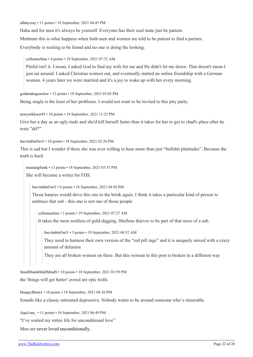[alldaycray](https://old.reddit.com/user/alldaycray) • 11 points • 18 September, 2021 04:45 PM

Haha and for men it's always be yourself. Everyone has their soul mate just be patient.

Mmhmm this is what happens when both men and women are told to be patient to find a partner.

Everybody is waiting to be found and no one is doing the looking.

[yellomachine](https://old.reddit.com/user/yellomachine) • 4 points • 19 September, 2021 07:32 AM

Pitiful isn't it. I mean, I asked God to find my wife for me and He didn't let me down. That doesn't mean I just sat around. I asked Christian women out, and eventually started an online friendship with a German woman. 4 years later we were married and it's a joy to wake up with her every morning.

[goldendragonclaw](https://old.reddit.com/user/goldendragonclaw) • 12 points • 18 September, 2021 03:03 PM

Being single is the least of her problems. I would not want to be invited to this pity party.

[newyorkloser45](https://old.reddit.com/user/newyorkloser45) • 10 points • 18 September, 2021 11:25 PM

Give her a day as an ugly male and she'd kill herself faster than it takes for her to get to chad's place after he texts "dtf?"

[InevitableOwl1](https://old.reddit.com/user/InevitableOwl1) • 10 points • 18 September, 2021 02:26 PM

This is sad but I wonder if there she was ever willing to hear more than just "bullshit platitudes". Because the truth is hard

[mustangfrank](https://old.reddit.com/user/mustangfrank) • 13 points • 18 September, 2021 03:37 PM

She will become a writer for FDS.

[InevitableOwl1](https://old.reddit.com/user/InevitableOwl1) • 8 points • 18 September, 2021 04:56 PM

Those harpies would drive this one to the brink again. I think it takes a particular kind of person to embrace that sub - this one is not one of those people

[yellomachine](https://old.reddit.com/user/yellomachine) • 3 points • 19 September, 2021 07:27 AM

It takes the most soulless of gold-digging, libellous thieves to be part of that mess of a sub.

[InevitableOwl1](https://old.reddit.com/user/InevitableOwl1) • 3 points • 19 September, 2021 08:52 AM

They need to harness their own version of the "red pill rage" and it is uniquely mixed with a crazy amount of delusion

They are all broken women on there. But this woman in this post is broken in a different way

[SmallHandsMallMindS](https://old.reddit.com/user/SmallHandsMallMindS) • 10 points • 18 September, 2021 03:59 PM the 'things will get better' crowd are epic trolls

[HungryBrain1](https://old.reddit.com/user/HungryBrain1) • 10 points • 18 September, 2021 04:10 PM Sounds like a classic untreated depressive. Nobody wants to be around someone who's miserable.

[Aqui1am\\_](https://old.reddit.com/user/Aqui1am_) • 11 points • 18 September, 2021 06:49 PM

"I've waited my entire life for unconditional love"

Men are [never loved unconditionally](https://i.pinimg.com/originals/9e/72/4f/9e724f8a9d97db215892cc6cdf71d7dc.jpg).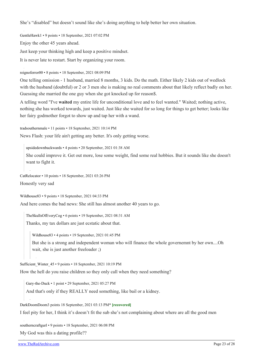She's "disabled" but doesn't sound like she's doing anything to help better her own situation.

[GentleHawk1](https://old.reddit.com/user/GentleHawk1) • 9 points • 18 September, 2021 07:02 PM Enjoy the other 45 years ahead. Just keep your thinking high and keep a positive mindset. It is never late to restart. Start by organizing your room.

[reignoferror00](https://old.reddit.com/user/reignoferror00) • 8 points • 18 September, 2021 08:09 PM

One telling omission - 1 husband, married 8 months, 3 kids. Do the math. Either likely 2 kids out of wedlock with the husband (doubtful) or 2 or 3 men she is making no real comments about that likely reflect badly on her. Guessing she married the one guy when she got knocked up for reason\$.

A telling word "I've **waited** my entire life for unconditional love and to feel wanted." Waited; nothing active, nothing she has worked towards, just waited. Just like she waited for so long for things to get better; looks like her fairy godmother forgot to show up and tap her with a wand.

[tradsouthernmale](https://old.reddit.com/user/tradsouthernmale) • 11 points • 18 September, 2021 10:14 PM

News Flash: your life ain't getting any better. It's only getting worse.

[upsidedownbackwards](https://old.reddit.com/user/upsidedownbackwards) • 4 points • 20 September, 2021 01:38 AM

She could improve it. Get out more, lose some weight, find some real hobbies. But it sounds like she doesn't want to fight it.

[CatRelocator](https://old.reddit.com/user/CatRelocator) • 10 points • 18 September, 2021 03:26 PM

Honestly very sad

[Wildhouse83](https://old.reddit.com/user/Wildhouse83) • 9 points • 18 September, 2021 04:33 PM

And here comes the bad news: She still has almost another 40 years to go.

[TheSkullsOfEveryCog](https://old.reddit.com/user/TheSkullsOfEveryCog) • 6 points • 19 September, 2021 08:31 AM

Thanks, my tax dollars are just ecstatic about that.

[Wildhouse83](https://old.reddit.com/user/Wildhouse83) • 4 points • 19 September, 2021 01:45 PM

But she is a strong and independent woman who will finance the whole governemnt by her own....Oh wait, she is just another freeloader ;)

Sufficient Winter  $45 \cdot 9$  points • 18 September, 2021 10:19 PM

How the hell do you raise children so they only call when they need something?

[Gary-the-Duck](https://old.reddit.com/user/Gary-the-Duck) • 1 point • 29 September, 2021 05:27 PM

And that's only if they REALLY need something, like bail or a kidney.

[DarkDoomDoom3](https://old.reddit.com/user/DarkDoomDoom) points 18 September, 2021 03:13 PM\* **[recovered]**

I feel pity for her, I think it's doesn't fit the sub she's not complaining about where are all the good men

[southerncraftgurl](https://old.reddit.com/user/southerncraftgurl) • 9 points • 18 September, 2021 06:08 PM

My God was this a dating profile??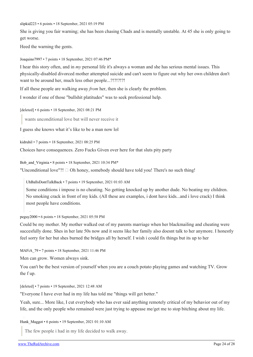[slipkid223](https://old.reddit.com/user/slipkid223) • 6 points • 18 September, 2021 05:19 PM

She is giving you fair warning; she has been chasing Chads and is mentally unstable. At 45 she is only going to get worse.

Heed the warning the gents.

[Joaquino7997](https://old.reddit.com/user/Joaquino7997) • 7 points • 18 September, 2021 07:46 PM\*

I hear this story often, and in *my* personal life it's always a woman and she has serious mental issues. This physically-disabled divorced mother attempted suicide and can't seem to figure out why her own children don't want to be around her, much less other people...?!?!?!?!

If all these people are walking away *from* her, then she is clearly the problem.

I wonder if one of those "bullshit platitudes" was to seek professional help.

[deleted] • 6 points • 18 September, 2021 08:21 PM

wants unconditional love but will never receive it

I guess she knows what it's like to be a man now lol

[kidruhil](https://old.reddit.com/user/kidruhil) • 7 points • 18 September, 2021 08:25 PM

Choices have consequences. Zero Fucks Given over here for that sluts pity party

Bob and Virginia • 8 points • 18 September, 2021 10:34 PM\*

"Unconditional love"?!  $\Box$  Oh honey, somebody should have told you! There's no such thing!

[UhBallsDontTalkBack](https://old.reddit.com/user/UhBallsDontTalkBack) • 7 points • 19 September, 2021 01:03 AM

Some conditions i impose is no cheating. No getting knocked up by another dude. No beating my children. No smoking crack in front of my kids. (All these are examples, i dont have kids...and i love crack) I think most people have conditions.

[peguy2000](https://old.reddit.com/user/peguy2000) • 6 points • 18 September, 2021 05:58 PM

Could be my mother. My mother walked out of my parents marriage when her blackmailing and cheating were succesfully done. Shes in her late 50s now and it seens like her family also doesnt talk to her anymore. I honestly feel sorry for her but shes burned the bridges all by herself. I wish i could fix things but its up to her

[MAFiA\\_79](https://old.reddit.com/user/MAFiA_79) • 7 points • 18 September, 2021 11:46 PM

Men can grow. Women always sink.

You can't be the best version of yourself when you are a couch potato playing games and watching TV. Grow the f up.

[deleted] • 7 points • 19 September, 2021 12:48 AM

"Everyone I have ever had in my life has told me "things will get better."

Yeah, sure... More like, I cut everybody who has ever said anything remotely critical of my behavior out of my life, and the only people who remained were just trying to appease me/get me to stop bitching about my life.

Hunk Maggot • 6 points • 19 September, 2021 01:10 AM

The few people i had in my life decided to walk away.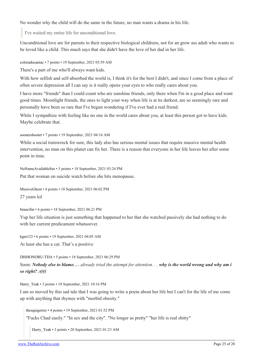No wonder why the child will do the same in the future, no man wants a drama in his life.

I've waited my entire life for unconditional love.

Unconditional love are for parents to their respective biological childrens, not for an grow ass adult who wants to be loved like a child. This much says that she didn't have the love of her dad in her life.

[coloradocaniac](https://old.reddit.com/user/coloradocaniac) • 7 points • 19 September, 2021 03:59 AM

There's a part of me who'll always want kids.

With how selfish and self-absorbed the world is. I think it's for the best I didn't, and since I come from a place of often severe depression all I can say is it really opens your eyes to who really cares about you.

I have more "friends" than I could count who are sunshine friends, only there when I'm in a good place and want good times. Moonlight friends, the ones to light your way when life is at its darkest, are so seemingly rare and personally have been so rare that I've begun wondering if I've ever had a real friend.

While I sympathize with feeling like no one in the world cares about you, at least this person got to have kids. Maybe celebrate that.

[soonershooter](https://old.reddit.com/user/soonershooter) • 7 points • 19 September, 2021 04:16 AM

While a social trainwreck for sure, this lady also has serious mental issues that require massive mental health intervention, no man on this planet can fix her. There is a reason that everyone in her life leaves her after some point in time.

[NoNameAvailableSee](https://old.reddit.com/user/NoNameAvailableSee) • 5 points • 18 September, 2021 03:24 PM Put that woman on suicide watch before she hits menopause.

[MissiveGhost](https://old.reddit.com/user/MissiveGhost) • 4 points • 18 September, 2021 06:02 PM

27 years lol

[braucifur](https://old.reddit.com/user/braucifur) • 6 points • 18 September, 2021 06:21 PM

Yup her life situation is just something that happened to her that she watched passively she had nothing to do with her current predicament whatsoever.

[kgm123](https://old.reddit.com/user/kgm123) • 6 points • 19 September, 2021 04:05 AM

At least she has a cat. That's a positive

[DISHONORU-TDA](https://old.reddit.com/user/DISHONORU-TDA) • 5 points • 18 September, 2021 06:29 PM

Soon: *Nobody else to blame. . . already tried the attempt for attention. . . why is the world wrong and why am i so right? :((((*

Harry Teak • 3 points • 18 September, 2021 10:16 PM

I am so moved by this sad tale that I was going to write a poem about her life but I can't for the life of me come up with anything that rhymes with "morbid obesity."

[thesquigerrer](https://old.reddit.com/user/thesquigerrer) • 4 points • 19 September, 2021 01:52 PM

"Fucks Chad easily." "In sex and the city". "No longer as pretty" "her life is real shitty"

Harry Teak • 3 points • 20 September, 2021 01:23 AM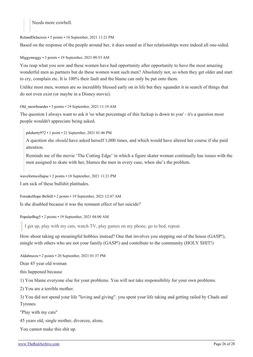

[RolandDelacroix](https://old.reddit.com/user/RolandDelacroix) • 5 points • 18 September, 2021 11:21 PM

Based on the response of the people around her, it does sound as if her relationships were indeed all one-sided.

[Miggymoggy](https://old.reddit.com/user/Miggymoggy) • 3 points • 19 September, 2021 09:53 AM

You reap what you sow and these women have had opportunity after opportunity to have the most amazing wonderful men as partners but do these women want such men? Absolutely not, so when they get older and start to cry, complain etc. It is 100% their fault and the blame can only be put onto them.

Unlike most men, women are so incredibly blessed early on in life but they squander it in search of things that do not even exist (or maybe in a Disney movie).

[Old\\_snowboarder](https://old.reddit.com/user/Old_snowboarder) • 3 points • 19 September, 2021 11:19 AM

The question I always want to ask it 'so what percentage of this fuckup is down to you' - it's a question most people wouldn't appreciate being asked.

[pdoherty972](https://old.reddit.com/user/pdoherty972) • 1 point • 21 September, 2021 01:46 PM

A question she *should* have asked herself 1,000 times, and which would have altered her course if she paid attention.

Reminds me of the movie 'The Cutting Edge' in which a figure skater woman continually has issues with the men assigned to skate with her, blames the men in every case, when she's the problem.

[waveformcollapse](https://old.reddit.com/user/waveformcollapse) • 2 points • 18 September, 2021 11:21 PM

I am sick of these bullshit platitudes.

[ForsakeHope-BeStill](https://old.reddit.com/user/ForsakeHope-BeStill) • 2 points • 19 September, 2021 12:47 AM

Is she disabled because it was the remnant effect of her suicide?

[PopularBug5](https://old.reddit.com/user/PopularBug5) • 2 points • 19 September, 2021 04:00 AM

I get up, play with my cats, watch TV, play games on my phone, go to bed, repeat.

How about taking up meaningful hobbies instead? One that involves you stepping out of the house (GASP!), mingle with others who are not your family (GASP!) and contribute to the community (HOLY SHIT!)

[Aldabruzzo](https://old.reddit.com/user/Aldabruzzo) • 2 points • 20 September, 2021 01:37 PM

Dear 45 year old woman

this happened because

1) You blame everyone else for your problems. You will not take responsibility for your own problems.

2) You are a terrible mother.

3) You did not spend your life "loving and giving". you spent your life taking and getting railed by Chads and Tyrones.

"Play with my cats"

45 years old, single mother, divorcee, alone.

You cannot make this shit up.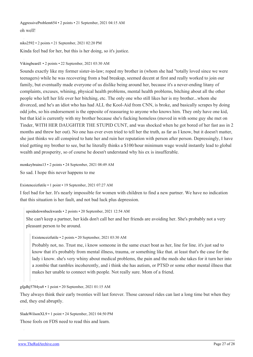## [AggressiveProblem654](https://old.reddit.com/user/AggressiveProblem654) • 2 points • 21 September, 2021 04:15 AM oh well!

#### [niks2592](https://old.reddit.com/user/niks2592) • 2 points • 21 September, 2021 02:20 PM

Kinda feel bad for her, but this is her doing, so it's justice.

#### [Vikingbeard1](https://old.reddit.com/user/Vikingbeard1) • 2 points • 22 September, 2021 03:30 AM

Sounds exactly like my former sister-in-law; roped my brother in (whom she had "totally loved since we were teenagers) while he was recovering from a bad breakup, seemed decent at first and really worked to join our family, but eventually made everyone of us dislike being around her, because it's a never-ending litany of complaints, excuses, whining, physical health problems, mental health problems, bitching about all the other people who left her life over her bitching, etc. The only one who still likes her is my brother...whom she divorced, and he's an idiot who has had ALL the Kool-Aid from CNN, is broke, and basically scrapes by doing odd jobs, so his endorsement is the opposite of reassuring to anyone who knows him. They only have one kid, but that kid is currently with my brother because she's fucking homeless (moved in with some guy she met on Tinder, WITH HER DAUGHTER THE STUPID CUNT, and was shocked when he got bored of her fast ass in 2 months and threw her out). No one has ever even tried to tell her the truth, as far as I know, but it doesn't matter, she just thinks we all conspired to hate her and ruin her reputation with person after person. Depressingly, I have tried getting my brother to see, but he literally thinks a \$100/hour minimum wage would instantly lead to global wealth and prosperity, so of course he doesn't understand why his ex is insufferable.

[monkeybrains13](https://old.reddit.com/user/monkeybrains13) • 2 points • 24 September, 2021 08:49 AM So sad. I hope this never happens to me

[Existenceizfutile](https://old.reddit.com/user/Existenceizfutile) • 1 point • 19 September, 2021 07:27 AM

I feel bad for her. It's nearly impossible for women with children to find a new partner. We have no indication that this situation is her fault, and not bad luck plus depression.

[upsidedownbackwards](https://old.reddit.com/user/upsidedownbackwards) • 2 points • 20 September, 2021 12:54 AM

She can't keep a partner, her kids don't call her and her friends are avoiding her. She's probably not a very pleasant person to be around.

[Existenceizfutile](https://old.reddit.com/user/Existenceizfutile) • 2 points • 20 September, 2021 03:30 AM

Probably not, no. Trust me, i know someone in the same exact boat as her, line for line. it's just sad to know that it's probably from mental illness, trauma, or something like that. at least that's the case for the lady i know. she's very whiny about medical problems, the pain and the meds she takes for it turn her into a zombie that rambles incoherently, and i think she has autism, or PTSD or some other mental illness that makes her unable to connect with people. Not really sure. Mom of a friend.

[gfgdhj5784yu8](https://old.reddit.com/user/gfgdhj5784yu8) • 1 point • 20 September, 2021 01:15 AM

They always think their early twenties will last forever. Those carousel rides can last a long time but when they end, they end abruptly.

[SladeWilsonXL9](https://old.reddit.com/user/SladeWilsonXL9) • 1 point • 24 September, 2021 04:50 PM Those fools on FDS need to read this and learn.